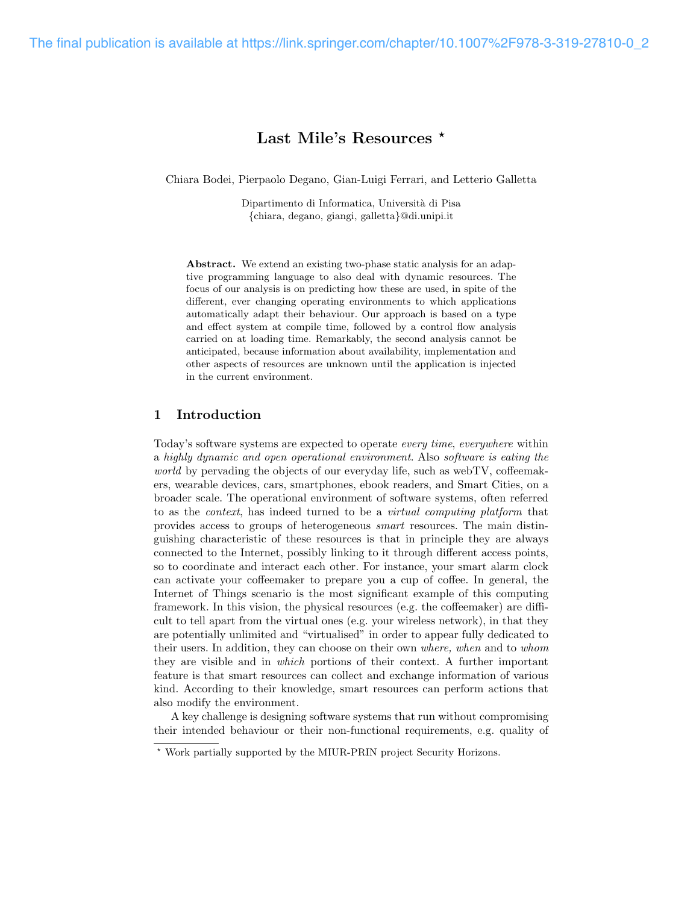# Last Mile's Resources  $\star$

Chiara Bodei, Pierpaolo Degano, Gian-Luigi Ferrari, and Letterio Galletta

Dipartimento di Informatica, Universit`a di Pisa *{*chiara, degano, giangi, galletta*}*@di.unipi.it

Abstract. We extend an existing two-phase static analysis for an adaptive programming language to also deal with dynamic resources. The focus of our analysis is on predicting how these are used, in spite of the different, ever changing operating environments to which applications automatically adapt their behaviour. Our approach is based on a type and effect system at compile time, followed by a control flow analysis carried on at loading time. Remarkably, the second analysis cannot be anticipated, because information about availability, implementation and other aspects of resources are unknown until the application is injected in the current environment.

## <span id="page-0-0"></span>1 Introduction

Today's software systems are expected to operate *every time*, *everywhere* within a *highly dynamic and open operational environment*. Also *software is eating the world* by pervading the objects of our everyday life, such as webTV, coffeemakers, wearable devices, cars, smartphones, ebook readers, and Smart Cities, on a broader scale. The operational environment of software systems, often referred to as the *context*, has indeed turned to be a *virtual computing platform* that provides access to groups of heterogeneous *smart* resources. The main distinguishing characteristic of these resources is that in principle they are always connected to the Internet, possibly linking to it through different access points, so to coordinate and interact each other. For instance, your smart alarm clock can activate your coffeemaker to prepare you a cup of coffee. In general, the Internet of Things scenario is the most significant example of this computing framework. In this vision, the physical resources (e.g. the coffeemaker) are difficult to tell apart from the virtual ones (e.g. your wireless network), in that they are potentially unlimited and "virtualised" in order to appear fully dedicated to their users. In addition, they can choose on their own *where, when* and to *whom* they are visible and in *which* portions of their context. A further important feature is that smart resources can collect and exchange information of various kind. According to their knowledge, smart resources can perform actions that also modify the environment.

A key challenge is designing software systems that run without compromising their intended behaviour or their non-functional requirements, e.g. quality of

<sup>?</sup> Work partially supported by the MIUR-PRIN project Security Horizons.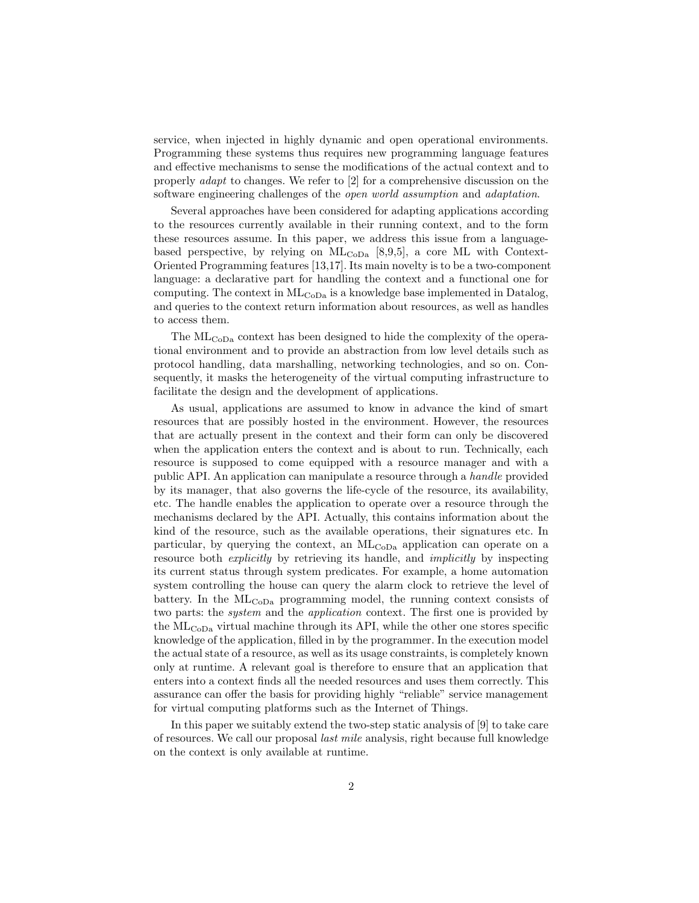service, when injected in highly dynamic and open operational environments. Programming these systems thus requires new programming language features and effective mechanisms to sense the modifications of the actual context and to properly *adapt* to changes. We refer to [\[2\]](#page-20-0) for a comprehensive discussion on the software engineering challenges of the *open world assumption* and *adaptation*.

Several approaches have been considered for adapting applications according to the resources currently available in their running context, and to the form these resources assume. In this paper, we address this issue from a languagebased perspective, by relying on  $ML_{\text{CoDa}}$  [\[8,](#page-20-1)[9](#page-20-2)[,5\]](#page-20-3), a core ML with Context-Oriented Programming features [\[13,](#page-20-4)[17\]](#page-20-5). Its main novelty is to be a two-component language: a declarative part for handling the context and a functional one for computing. The context in  $ML_{CoDa}$  is a knowledge base implemented in Datalog, and queries to the context return information about resources, as well as handles to access them.

The ML<sub>CoDa</sub> context has been designed to hide the complexity of the operational environment and to provide an abstraction from low level details such as protocol handling, data marshalling, networking technologies, and so on. Consequently, it masks the heterogeneity of the virtual computing infrastructure to facilitate the design and the development of applications.

As usual, applications are assumed to know in advance the kind of smart resources that are possibly hosted in the environment. However, the resources that are actually present in the context and their form can only be discovered when the application enters the context and is about to run. Technically, each resource is supposed to come equipped with a resource manager and with a public API. An application can manipulate a resource through a *handle* provided by its manager, that also governs the life-cycle of the resource, its availability, etc. The handle enables the application to operate over a resource through the mechanisms declared by the API. Actually, this contains information about the kind of the resource, such as the available operations, their signatures etc. In particular, by querying the context, an ML<sub>CoDa</sub> application can operate on a resource both *explicitly* by retrieving its handle, and *implicitly* by inspecting its current status through system predicates. For example, a home automation system controlling the house can query the alarm clock to retrieve the level of battery. In the MLCoDa programming model, the running context consists of two parts: the *system* and the *application* context. The first one is provided by the MLCoDa virtual machine through its API, while the other one stores specific knowledge of the application, filled in by the programmer. In the execution model the actual state of a resource, as well as its usage constraints, is completely known only at runtime. A relevant goal is therefore to ensure that an application that enters into a context finds all the needed resources and uses them correctly. This assurance can offer the basis for providing highly "reliable" service management for virtual computing platforms such as the Internet of Things.

In this paper we suitably extend the two-step static analysis of [\[9\]](#page-20-2) to take care of resources. We call our proposal *last mile* analysis, right because full knowledge on the context is only available at runtime.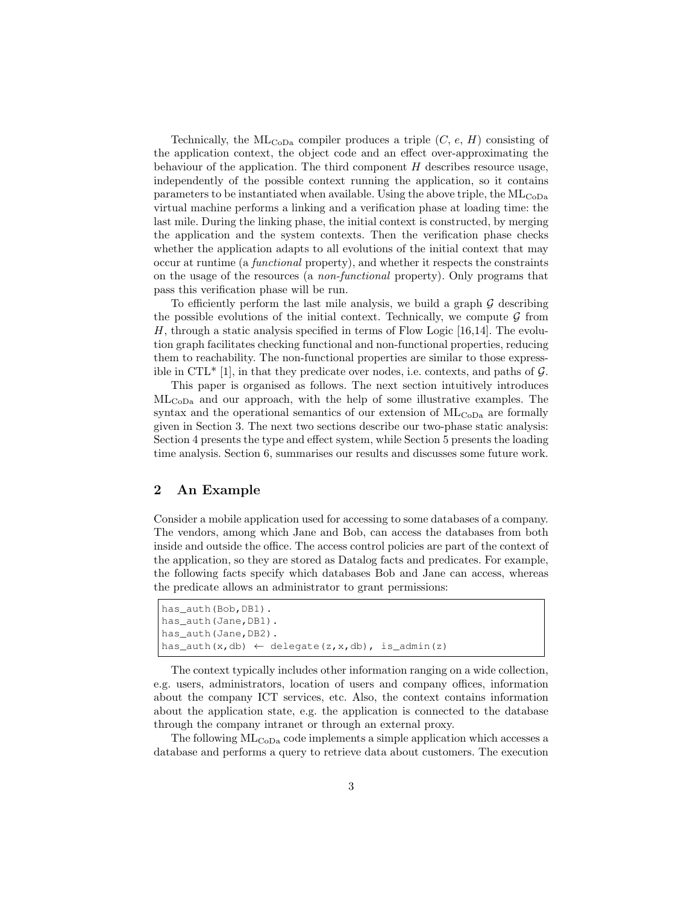Technically, the  $ML_{\text{CODa}}$  compiler produces a triple  $(C, e, H)$  consisting of the application context, the object code and an effect over-approximating the behaviour of the application. The third component *H* describes resource usage, independently of the possible context running the application, so it contains parameters to be instantiated when available. Using the above triple, the MLCoDa virtual machine performs a linking and a verification phase at loading time: the last mile. During the linking phase, the initial context is constructed, by merging the application and the system contexts. Then the verification phase checks whether the application adapts to all evolutions of the initial context that may occur at runtime (a *functional* property), and whether it respects the constraints on the usage of the resources (a *non-functional* property). Only programs that pass this verification phase will be run.

To efficiently perform the last mile analysis, we build a graph  $\mathcal G$  describing the possible evolutions of the initial context. Technically, we compute  $\mathcal G$  from *H*, through a static analysis specified in terms of Flow Logic [\[16,](#page-20-6)[14\]](#page-20-7). The evolution graph facilitates checking functional and non-functional properties, reducing them to reachability. The non-functional properties are similar to those expressible in  $\text{CTL}^*$  [\[1\]](#page-20-8), in that they predicate over nodes, i.e. contexts, and paths of  $\mathcal G$ .

This paper is organised as follows. The next section intuitively introduces MLCoDa and our approach, with the help of some illustrative examples. The syntax and the operational semantics of our extension of  $ML_{\text{CoDa}}$  are formally given in Section [3.](#page-5-0) The next two sections describe our two-phase static analysis: Section [4](#page-9-0) presents the type and effect system, while Section [5](#page-14-0) presents the loading time analysis. Section [6,](#page-19-0) summarises our results and discusses some future work.

## <span id="page-2-0"></span>2 An Example

Consider a mobile application used for accessing to some databases of a company. The vendors, among which Jane and Bob, can access the databases from both inside and outside the office. The access control policies are part of the context of the application, so they are stored as Datalog facts and predicates. For example, the following facts specify which databases Bob and Jane can access, whereas the predicate allows an administrator to grant permissions:

```
has auth(Bob,DB1).
has_auth(Jane, DB1).
has_auth(Jane,DB2).
has_auth(x,db) \leftarrow delegate(z,x,db), is_admin(z)
```
The context typically includes other information ranging on a wide collection, e.g. users, administrators, location of users and company offices, information about the company ICT services, etc. Also, the context contains information about the application state, e.g. the application is connected to the database through the company intranet or through an external proxy.

The following MLCoDa code implements a simple application which accesses a database and performs a query to retrieve data about customers. The execution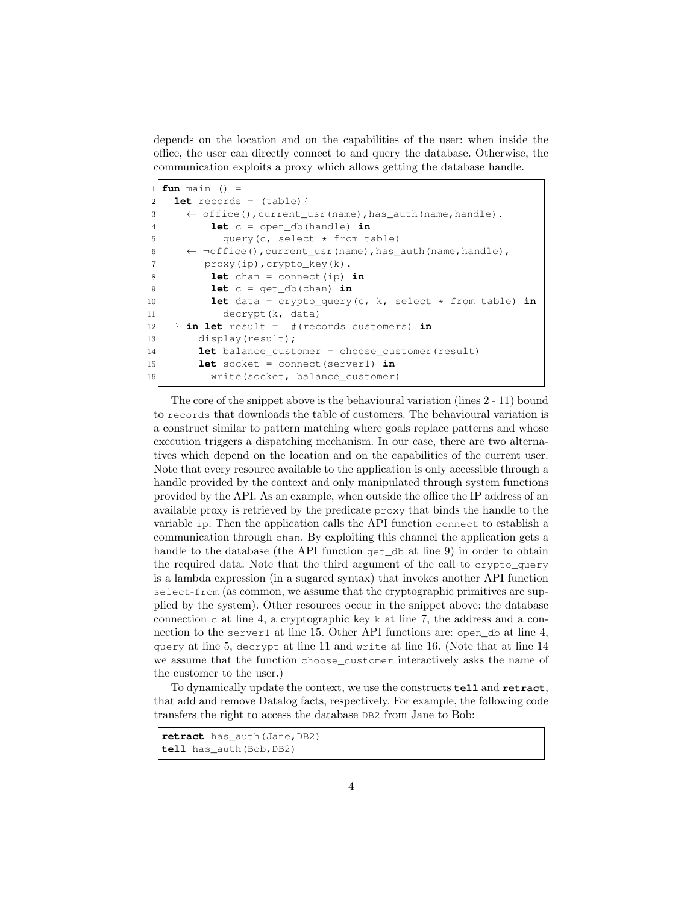depends on the location and on the capabilities of the user: when inside the office, the user can directly connect to and query the database. Otherwise, the communication exploits a proxy which allows getting the database handle.

```
1 fun main () =
2 let records = (table) {
\begin{array}{lll} 3 & \leftarrow & \text{offset} \ (1, 0, 0) \ \text{left} & \text{of} \ \text{right} & \text{of} \ \text{right} & \text{of} \ \text{right} & \text{of} \ \text{right} & \text{right} \end{array}let c = open_db(handle) in5 query(c, select * from table)
6 		← ¬office(), current_usr(name), has_auth(name, handle),<br>
proxy(ip).crypto key(k).
           proxy(ip),crypto_key(k).
8 let chan = connect(ip) in
|9| let c = qet_d(b) (chan) in
10 let data = crypto_query(c, k, select * from table) in
11 decrypt (k, data)
|12| } in let result = #(records customers) in
13 display(result);
14 let balance_customer = choose_customer(result)
15 let socket = connect(server1) in
16 write(socket, balance_customer)
```
The core of the snippet above is the behavioural variation (lines 2 - 11) bound to records that downloads the table of customers. The behavioural variation is a construct similar to pattern matching where goals replace patterns and whose execution triggers a dispatching mechanism. In our case, there are two alternatives which depend on the location and on the capabilities of the current user. Note that every resource available to the application is only accessible through a handle provided by the context and only manipulated through system functions provided by the API. As an example, when outside the office the IP address of an available proxy is retrieved by the predicate proxy that binds the handle to the variable ip. Then the application calls the API function connect to establish a communication through chan. By exploiting this channel the application gets a handle to the database (the API function get\_db at line 9) in order to obtain the required data. Note that the third argument of the call to crypto\_query is a lambda expression (in a sugared syntax) that invokes another API function select-from (as common, we assume that the cryptographic primitives are supplied by the system). Other resources occur in the snippet above: the database connection c at line 4, a cryptographic key k at line 7, the address and a connection to the server1 at line 15. Other API functions are: open\_db at line 4, query at line 5, decrypt at line 11 and write at line 16. (Note that at line 14 we assume that the function choose\_customer interactively asks the name of the customer to the user.)

To dynamically update the context, we use the constructs **tell** and **retract**, that add and remove Datalog facts, respectively. For example, the following code transfers the right to access the database DB2 from Jane to Bob:

```
retract has_auth(Jane,DB2)
tell has_auth(Bob,DB2)
```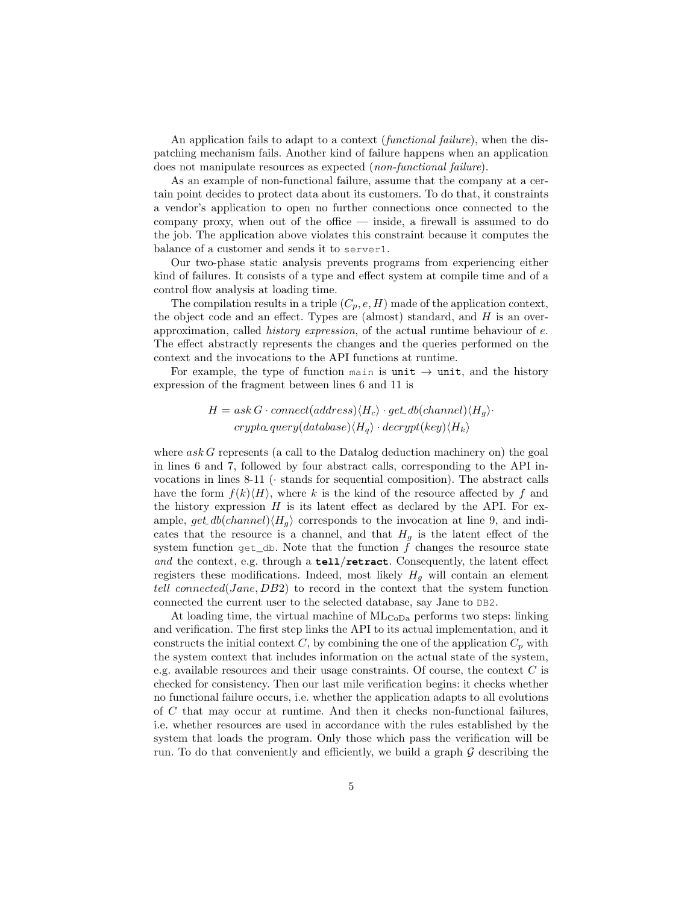An application fails to adapt to a context (*functional failure*), when the dispatching mechanism fails. Another kind of failure happens when an application does not manipulate resources as expected (*non-functional failure*).

As an example of non-functional failure, assume that the company at a certain point decides to protect data about its customers. To do that, it constraints a vendor's application to open no further connections once connected to the company proxy, when out of the office  $-$  inside, a firewall is assumed to do the job. The application above violates this constraint because it computes the balance of a customer and sends it to server1.

Our two-phase static analysis prevents programs from experiencing either kind of failures. It consists of a type and effect system at compile time and of a control flow analysis at loading time.

The compilation results in a triple  $(C_p, e, H)$  made of the application context, the object code and an effect. Types are (almost) standard, and  $H$  is an overapproximation, called *history expression*, of the actual runtime behaviour of *e*. The effect abstractly represents the changes and the queries performed on the context and the invocations to the API functions at runtime.

For example, the type of function main is unit  $\rightarrow$  unit, and the history expression of the fragment between lines 6 and 11 is

$$
H = ask G \cdot connect(address) \langle H_c \rangle \cdot get\_db(channel) \langle H_g \rangle \cdotcrypta query(databases) \langle H_q \rangle \cdot decrypt(key) \langle H_k \rangle
$$

where  $askG$  represents (a call to the Datalog deduction machinery on) the goal in lines 6 and 7, followed by four abstract calls, corresponding to the API invocations in lines 8-11 (*·* stands for sequential composition). The abstract calls have the form  $f(k)\langle H \rangle$ , where k is the kind of the resource affected by f and the history expression  $H$  is its latent effect as declared by the API. For example,  $get\_db(charnel)\langle H_g \rangle$  corresponds to the invocation at line 9, and indicates that the resource is a channel, and that  $H<sub>q</sub>$  is the latent effect of the system function get\_db. Note that the function  $f$  changes the resource state *and* the context, e.g. through a **tell**/**retract**. Consequently, the latent effect registers these modifications. Indeed, most likely  $H_g$  will contain an element *tell connected*(*Jane, DB*2) to record in the context that the system function connected the current user to the selected database, say Jane to DB2.

At loading time, the virtual machine of  $ML_{\text{CoDa}}$  performs two steps: linking and verification. The first step links the API to its actual implementation, and it constructs the initial context  $C$ , by combining the one of the application  $C_p$  with the system context that includes information on the actual state of the system, e.g. available resources and their usage constraints. Of course, the context *C* is checked for consistency. Then our last mile verification begins: it checks whether no functional failure occurs, i.e. whether the application adapts to all evolutions of *C* that may occur at runtime. And then it checks non-functional failures, i.e. whether resources are used in accordance with the rules established by the system that loads the program. Only those which pass the verification will be run. To do that conveniently and efficiently, we build a graph  $\mathcal G$  describing the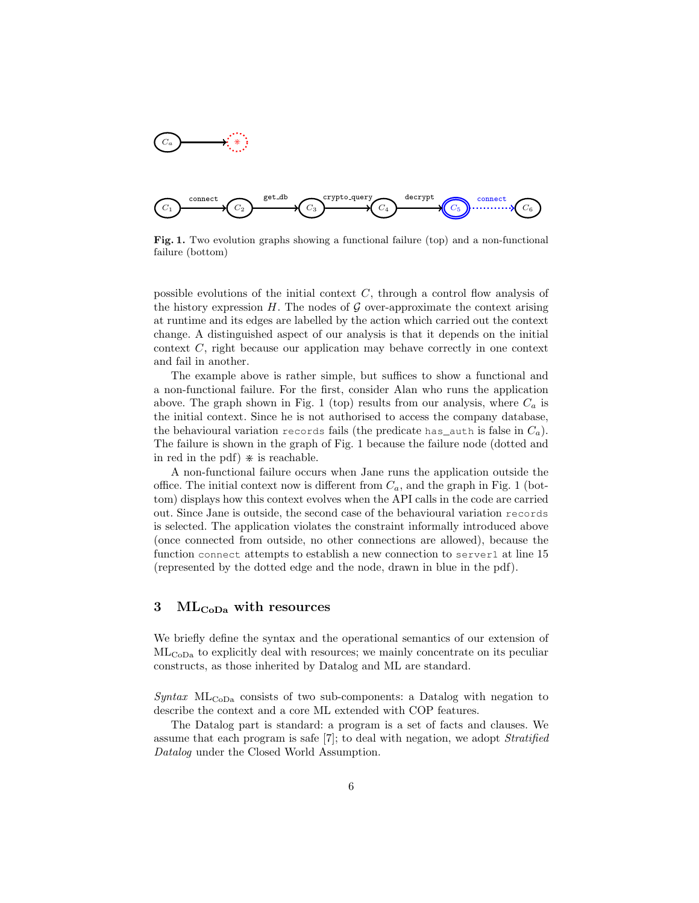

<span id="page-5-1"></span>Fig. 1. Two evolution graphs showing a functional failure (top) and a non-functional failure (bottom)

possible evolutions of the initial context *C*, through a control flow analysis of the history expression  $H$ . The nodes of  $G$  over-approximate the context arising at runtime and its edges are labelled by the action which carried out the context change. A distinguished aspect of our analysis is that it depends on the initial context *C*, right because our application may behave correctly in one context and fail in another.

The example above is rather simple, but suffices to show a functional and a non-functional failure. For the first, consider Alan who runs the application above. The graph shown in Fig. [1](#page-5-1) (top) results from our analysis, where  $C_a$  is the initial context. Since he is not authorised to access the company database, the behavioural variation records fails (the predicate has\_auth is false in *Ca*). The failure is shown in the graph of Fig. [1](#page-5-1) because the failure node (dotted and in red in the pdf)  $*$  is reachable.

A non-functional failure occurs when Jane runs the application outside the office. The initial context now is different from  $C_a$ , and the graph in Fig. [1](#page-5-1) (bottom) displays how this context evolves when the API calls in the code are carried out. Since Jane is outside, the second case of the behavioural variation records is selected. The application violates the constraint informally introduced above (once connected from outside, no other connections are allowed), because the function connect attempts to establish a new connection to server1 at line 15 (represented by the dotted edge and the node, drawn in blue in the pdf).

## <span id="page-5-0"></span>3 ML<sub>CoDa</sub> with resources

 $C_a$  >  $\longrightarrow$ 

We briefly define the syntax and the operational semantics of our extension of MLCoDa to explicitly deal with resources; we mainly concentrate on its peculiar constructs, as those inherited by Datalog and ML are standard.

 $Syntax$  ML<sub>CoDa</sub> consists of two sub-components: a Datalog with negation to describe the context and a core ML extended with COP features.

The Datalog part is standard: a program is a set of facts and clauses. We assume that each program is safe [\[7\]](#page-20-9); to deal with negation, we adopt *Stratified Datalog* under the Closed World Assumption.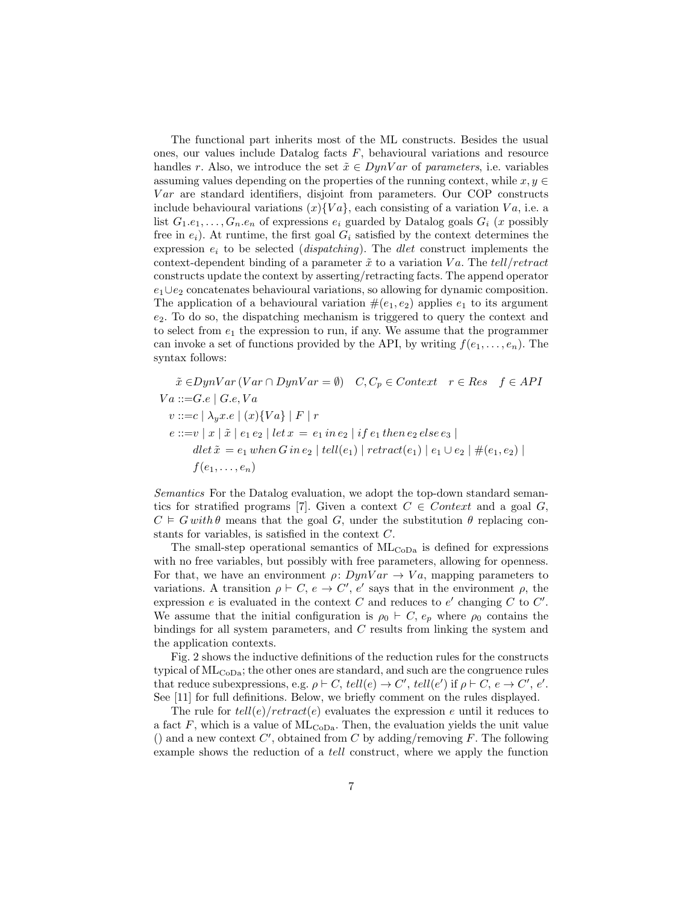The functional part inherits most of the ML constructs. Besides the usual ones, our values include Datalog facts *F*, behavioural variations and resource handles *r*. Also, we introduce the set  $\tilde{x} \in DynVar$  of *parameters*, i.e. variables assuming values depending on the properties of the running context, while  $x, y \in$ *V ar* are standard identifiers, disjoint from parameters. Our COP constructs include behavioural variations  $(x)$  {*Va*}, each consisting of a variation *Va*, i.e. a list  $G_1.e_1, \ldots, G_n.e_n$  of expressions  $e_i$  guarded by Datalog goals  $G_i$  (*x* possibly free in  $e_i$ ). At runtime, the first goal  $G_i$  satisfied by the context determines the expression *e<sup>i</sup>* to be selected (*dispatching*). The *dlet* construct implements the context-dependent binding of a parameter  $\tilde{x}$  to a variation *Va*. The *tell*/*retract* constructs update the context by asserting/retracting facts. The append operator  $e_1 \cup e_2$  concatenates behavioural variations, so allowing for dynamic composition. The application of a behavioural variation  $\#(e_1, e_2)$  applies  $e_1$  to its argument *e*2. To do so, the dispatching mechanism is triggered to query the context and to select from *e*<sup>1</sup> the expression to run, if any. We assume that the programmer can invoke a set of functions provided by the API, by writing  $f(e_1, \ldots, e_n)$ . The syntax follows:

 $\tilde{x} \in DynVar\left(Var \cap DynVar = \emptyset\right)$   $C, C_p \in Context \quad r \in Res \quad f \in API$  $Va ::= G.e \mid G.e, Va$  $v ::= c | \lambda_n x.e | (x) \{V a\} | F | r$  $e ::= v | x | \tilde{x} | e_1 e_2 | let x = e_1 in e_2 | if e_1 then e_2 else e_3 |$  $dlet \tilde{x} = e_1 \text{ when } G \text{ in } e_2 \mid tell(e_1) \mid return(e_1) \mid e_1 \cup e_2 \mid \#(e_1, e_2) \mid$  $f(e_1,\ldots,e_n)$ 

*Semantics* For the Datalog evaluation, we adopt the top-down standard seman-tics for stratified programs [\[7\]](#page-20-9). Given a context  $C \in Context$  and a goal  $G$ ,  $C \models G \text{ with } \theta \text{ means that the goal } G$ , under the substitution  $\theta$  replacing constants for variables, is satisfied in the context *C*.

The small-step operational semantics of  $ML_{CoDa}$  is defined for expressions with no free variables, but possibly with free parameters, allowing for openness. For that, we have an environment  $\rho: DynVar \to Va$ , mapping parameters to variations. A transition  $\rho \vdash C, e \rightarrow C', e'$  says that in the environment  $\rho$ , the expression *e* is evaluated in the context *C* and reduces to  $e'$  changing *C* to  $C'$ . We assume that the initial configuration is  $\rho_0 \vdash C$ ,  $e_p$  where  $\rho_0$  contains the bindings for all system parameters, and *C* results from linking the system and the application contexts.

Fig. [2](#page-7-0) shows the inductive definitions of the reduction rules for the constructs typical of  $ML_{\text{CoDa}}$ ; the other ones are standard, and such are the congruence rules that reduce subexpressions, e.g.  $\rho \vdash C$ , tell(*e*)  $\rightarrow C'$ , tell(*e'*) if  $\rho \vdash C$ ,  $e \rightarrow C'$ , *e'*. See [\[11\]](#page-20-10) for full definitions. Below, we briefly comment on the rules displayed.

The rule for  $tell(e)/retract(e)$  evaluates the expression *e* until it reduces to a fact  $F$ , which is a value of  $ML_{\text{CoDa}}$ . Then, the evaluation yields the unit value  $\alpha$  and a new context  $C'$ , obtained from  $C$  by adding/removing  $F$ . The following example shows the reduction of a *tell* construct, where we apply the function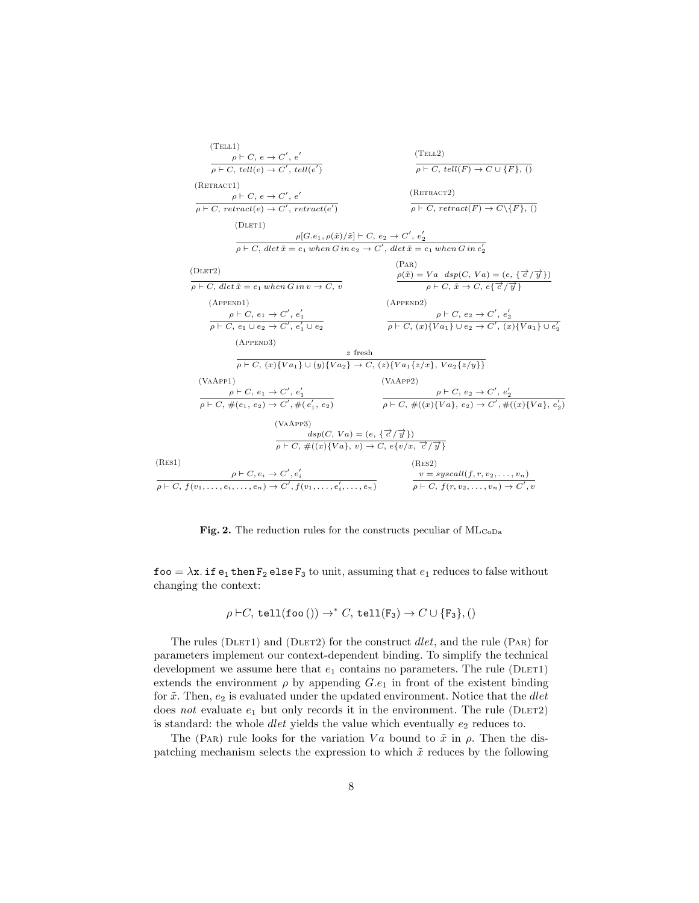

<span id="page-7-0"></span>Fig. 2. The reduction rules for the constructs peculiar of  $ML_{\text{CoDa}}$ 

 $f \circ \phi = \lambda x$ . if  $e_1$  then  $F_2$  else  $F_3$  to unit, assuming that  $e_1$  reduces to false without changing the context:

$$
\rho \vdash C, \mathsf{tell}(\mathsf{foo}\,()) \rightarrow^* C, \mathsf{tell}(\mathsf{F}_3) \rightarrow C \cup \{\mathsf{F}_3\}, ()
$$

The rules (DLET1) and (DLET2) for the construct *dlet*, and the rule (PAR) for parameters implement our context-dependent binding. To simplify the technical development we assume here that  $e_1$  contains no parameters. The rule (DLET1) extends the environment  $\rho$  by appending  $G.e_1$  in front of the existent binding for ˜*x*. Then, *e*<sup>2</sup> is evaluated under the updated environment. Notice that the *dlet* does *not* evaluate  $e_1$  but only records it in the environment. The rule (DLET2) is standard: the whole *dlet* yields the value which eventually  $e_2$  reduces to.

The (PAR) rule looks for the variation *Va* bound to  $\tilde{x}$  in  $\rho$ . Then the dispatching mechanism selects the expression to which  $\tilde{x}$  reduces by the following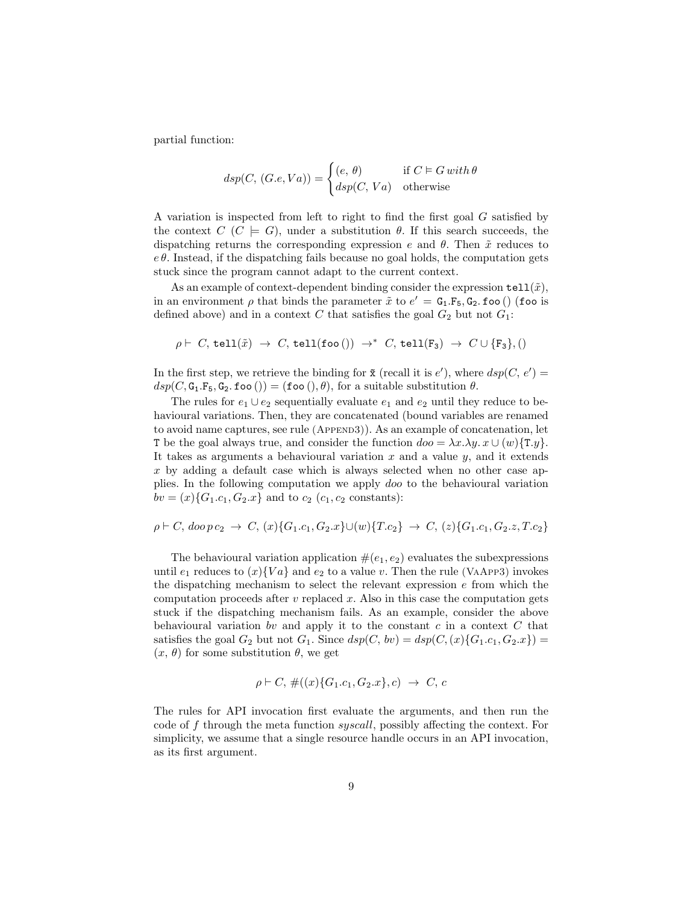partial function:

$$
dsp(C, (G.e, Va)) = \begin{cases} (e, \theta) & \text{if } C \models G \text{ with } \theta \\ dsp(C, Va) & \text{otherwise} \end{cases}
$$

A variation is inspected from left to right to find the first goal *G* satisfied by the context  $C$  ( $C \models G$ ), under a substitution  $\theta$ . If this search succeeds, the dispatching returns the corresponding expression  $e$  and  $\theta$ . Then  $\tilde{x}$  reduces to  $e\theta$ . Instead, if the dispatching fails because no goal holds, the computation gets stuck since the program cannot adapt to the current context.

As an example of context-dependent binding consider the expression  $\text{tel}(\tilde{x})$ , in an environment  $\rho$  that binds the parameter  $\tilde{x}$  to  $e' = G_1.F_5,G_2$ . foo () (foo is defined above) and in a context *C* that satisfies the goal  $G_2$  but not  $G_1$ :

$$
\rho \vdash C, \text{tell}(\tilde{x}) \rightarrow C, \text{ tell}(\text{foo}()) \rightarrow^* C, \text{tell}(F_3) \rightarrow C \cup \{F_3\},()
$$

In the first step, we retrieve the binding for  $\tilde{x}$  (recall it is *e'*), where  $dsp(C, e') =$  $dsp(C, \mathsf{G}_1.\mathsf{F}_5, \mathsf{G}_2.\mathsf{foo}()) = (\mathsf{foo}(), \theta), \text{ for a suitable substitution } \theta.$ 

The rules for  $e_1 \cup e_2$  sequentially evaluate  $e_1$  and  $e_2$  until they reduce to behavioural variations. Then, they are concatenated (bound variables are renamed to avoid name captures, see rule (APPEND3)). As an example of concatenation, let T be the goal always true, and consider the function  $do = \lambda x.\lambda y.x \cup (w)\{T.y\}$ . It takes as arguments a behavioural variation *x* and a value *y*, and it extends *x* by adding a default case which is always selected when no other case applies. In the following computation we apply *doo* to the behavioural variation  $bv = (x) \{G_1.c_1, G_2.x\}$  and to  $c_2$  ( $c_1, c_2$  constants):

$$
\rho \vdash C, \, \text{doo} \, p \, c_2 \ \rightarrow \ C, \, (x) \{G_1.c_1, G_2.x\} \cup (w) \{T.c_2\} \ \rightarrow \ C, \, (z) \{G_1.c_1, G_2.x, T.c_2\}
$$

The behavioural variation application  $\#(e_1, e_2)$  evaluates the subexpressions until  $e_1$  reduces to  $(x)$  {Va} and  $e_2$  to a value *v*. Then the rule (VAApp3) invokes the dispatching mechanism to select the relevant expression *e* from which the computation proceeds after *v* replaced *x*. Also in this case the computation gets stuck if the dispatching mechanism fails. As an example, consider the above behavioural variation *bv* and apply it to the constant *c* in a context *C* that satisfies the goal  $G_2$  but not  $G_1$ . Since  $dsp(C, bv) = dsp(C, (x)\{G_1.c_1, G_2.x\})$  $(x, \theta)$  for some substitution  $\theta$ , we get

$$
\rho \vdash C, \#((x)\{G_1.c_1,G_2.x\}, c) \rightarrow C, c
$$

The rules for API invocation first evaluate the arguments, and then run the code of f through the meta function *syscall*, possibly affecting the context. For simplicity, we assume that a single resource handle occurs in an API invocation, as its first argument.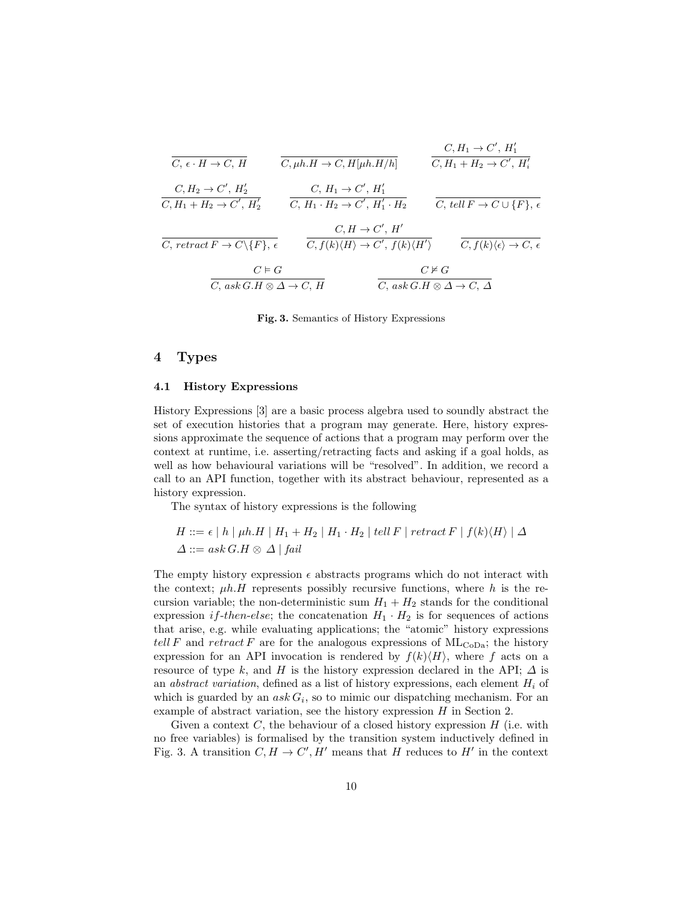*C,* ✏ *· H* ! *C, H C, µh.H* ! *C, H*[*µh.H/h*] *C, H*<sup>1</sup> ! *C*<sup>0</sup> *, H*<sup>0</sup> 1 *C, H*<sup>1</sup> + *H*<sup>2</sup> ! *C*<sup>0</sup> *, H*<sup>0</sup> *i C, H*<sup>2</sup> ! *C*<sup>0</sup> *, H*<sup>0</sup> 2 *C, H*<sup>1</sup> + *H*<sup>2</sup> ! *C*<sup>0</sup> *, H*<sup>0</sup> 2 *C, H*<sup>1</sup> ! *C*<sup>0</sup> *, H*<sup>0</sup> 1 *C, H*<sup>1</sup> *· H*<sup>2</sup> ! *C*<sup>0</sup> *, H*<sup>0</sup> <sup>1</sup> *· H*<sup>2</sup> *C, tell F* ! *C* [ *{F},* ✏ *C, retract F* ! *C\{F},* ✏ *C, H* ! *C*<sup>0</sup> *, H*<sup>0</sup> *C, f*(*k*)h*H*i ! *C*<sup>0</sup> *, f*(*k*)h*H*<sup>0</sup> i *C, f*(*k*)h✏i ! *C,* ✏ *C* ✏ *G C, ask G.H* ⌦ ! *C, H C* 2 *G C, ask G.H* ⌦ ! *C,*

<span id="page-9-1"></span>Fig. 3. Semantics of History Expressions

## <span id="page-9-0"></span>4 Types

#### 4.1 History Expressions

History Expressions [\[3\]](#page-20-11) are a basic process algebra used to soundly abstract the set of execution histories that a program may generate. Here, history expressions approximate the sequence of actions that a program may perform over the context at runtime, i.e. asserting/retracting facts and asking if a goal holds, as well as how behavioural variations will be "resolved". In addition, we record a call to an API function, together with its abstract behaviour, represented as a history expression.

The syntax of history expressions is the following

$$
H ::= \epsilon | h | \mu h \cdot H | H_1 + H_2 | H_1 \cdot H_2 | tell F | retract F | f(k) \langle H \rangle | \Delta
$$
  

$$
\Delta ::= ask G \cdot H \otimes \Delta | fail
$$

The empty history expression  $\epsilon$  abstracts programs which do not interact with the context;  $\mu h$ . H represents possibly recursive functions, where h is the recursion variable; the non-deterministic sum  $H_1 + H_2$  stands for the conditional expression *if-then-else*; the concatenation  $H_1 \cdot H_2$  is for sequences of actions that arise, e.g. while evaluating applications; the "atomic" history expressions *tell F* and *retract F* are for the analogous expressions of  $ML_{\text{CoDa}}$ ; the history expression for an API invocation is rendered by  $f(k)\langle H \rangle$ , where *f* acts on a resource of type k, and H is the history expression declared in the API;  $\Delta$  is an *abstract variation*, defined as a list of history expressions, each element *H<sup>i</sup>* of which is guarded by an  $ask \ G_i$ , so to mimic our dispatching mechanism. For an example of abstract variation, see the history expression *H* in Section [2.](#page-2-0)

Given a context *C*, the behaviour of a closed history expression *H* (i.e. with no free variables) is formalised by the transition system inductively defined in Fig. [3.](#page-9-1) A transition  $C, H \to C', H'$  means that *H* reduces to *H'* in the context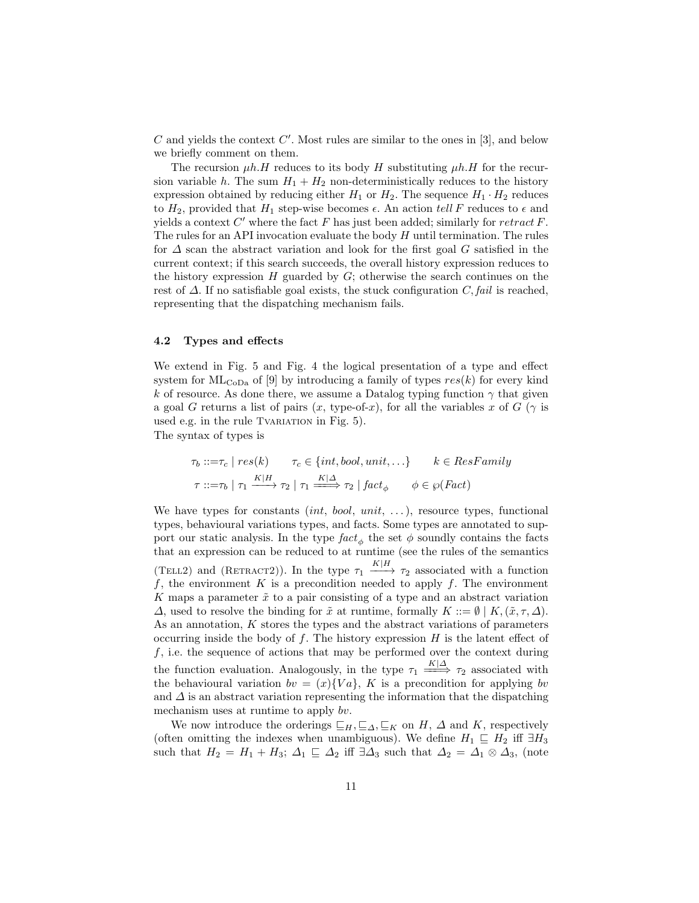$C$  and yields the context  $C'$ . Most rules are similar to the ones in [\[3\]](#page-20-11), and below we briefly comment on them.

The recursion  $\mu h.H$  reduces to its body *H* substituting  $\mu h.H$  for the recursion variable *h*. The sum  $H_1 + H_2$  non-deterministically reduces to the history expression obtained by reducing either  $H_1$  or  $H_2$ . The sequence  $H_1 \cdot H_2$  reduces to  $H_2$ , provided that  $H_1$  step-wise becomes  $\epsilon$ . An action *tell F* reduces to  $\epsilon$  and yields a context  $C'$  where the fact  $F$  has just been added; similarly for *retract*  $F$ . The rules for an API invocation evaluate the body *H* until termination. The rules for  $\Delta$  scan the abstract variation and look for the first goal *G* satisfied in the current context; if this search succeeds, the overall history expression reduces to the history expression *H* guarded by *G*; otherwise the search continues on the rest of  $\Delta$ . If no satisfiable goal exists, the stuck configuration *C*, *fail* is reached, representing that the dispatching mechanism fails.

#### 4.2 Types and effects

We extend in Fig. [5](#page-12-0) and Fig. [4](#page-11-0) the logical presentation of a type and effect system for  $ML_{\text{CoDa}}$  of [\[9\]](#page-20-2) by introducing a family of types  $res(k)$  for every kind *k* of resource. As done there, we assume a Datalog typing function  $\gamma$  that given a goal *G* returns a list of pairs  $(x, \text{ type-of-}x)$ , for all the variables x of  $G(\gamma)$  is used e.g. in the rule TVARIATION in Fig. [5\)](#page-12-0).

The syntax of types is

$$
\tau_b ::= \tau_c \mid res(k) \qquad \tau_c \in \{int, bool, unit, ...\} \qquad k \in ResFamily
$$

$$
\tau ::= \tau_b \mid \tau_1 \xrightarrow{K|H} \tau_2 \mid \tau_1 \xrightarrow{K|\Delta} \tau_2 \mid fact_{\phi} \qquad \phi \in \wp(Fact)
$$

We have types for constants (*int*, *bool*, *unit*, . . . ), resource types, functional types, behavioural variations types, and facts. Some types are annotated to support our static analysis. In the type  $fact_{\phi}$  the set  $\phi$  soundly contains the facts that an expression can be reduced to at runtime (see the rules of the semantics (TELL2) and (RETRACT2)). In the type  $\tau_1 \xrightarrow{K|H} \tau_2$  associated with a function  $f$ , the environment  $K$  is a precondition needed to apply  $f$ . The environment K maps a parameter  $\tilde{x}$  to a pair consisting of a type and an abstract variation  $\Delta$ , used to resolve the binding for  $\tilde{x}$  at runtime, formally  $K ::= \emptyset \mid K, (\tilde{x}, \tau, \Delta)$ . As an annotation, *K* stores the types and the abstract variations of parameters occurring inside the body of  $f$ . The history expression  $H$  is the latent effect of *f*, i.e. the sequence of actions that may be performed over the context during the function evaluation. Analogously, in the type  $\tau_1 \xrightarrow{K|\Delta} \tau_2$  associated with the behavioural variation  $bv = (x)\{Va\}$ , *K* is a precondition for applying *bv* and  $\Delta$  is an abstract variation representing the information that the dispatching mechanism uses at runtime to apply *bv*.

We now introduce the orderings  $\subseteq_H$ ,  $\subseteq_\Delta$ ,  $\subseteq_K$  on *H*,  $\Delta$  and *K*, respectively (often omitting the indexes when unambiguous). We define  $H_1 \subseteq H_2$  iff  $\exists H_3$ such that  $H_2 = H_1 + H_3$ ;  $\Delta_1 \subseteq \Delta_2$  iff  $\exists \Delta_3$  such that  $\Delta_2 = \Delta_1 \otimes \Delta_3$ , (note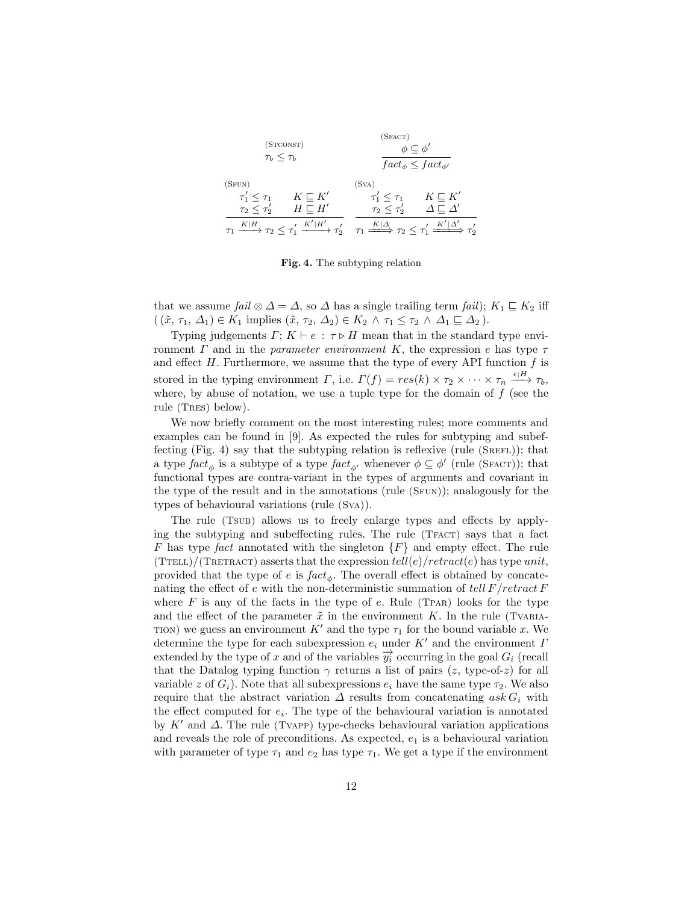| $(S_{TCONST})$<br>$\tau_b \leq \tau_b$ | (SFACT)<br>$\phi \subseteq \phi'$<br>$fact_{\phi} \leq fact_{\phi'}$                                                                                                |
|----------------------------------------|---------------------------------------------------------------------------------------------------------------------------------------------------------------------|
| (SFUN)                                 | (SVA)                                                                                                                                                               |
| $\tau'_1\leq \tau_1$                   | $\tau_1' \leq \tau_1$ $K \sqsubseteq K'$                                                                                                                            |
| $K \sqsubseteq K'$                     | $\tau_2\leq\tau_2'$                                                                                                                                                 |
| $\tau_2\leq\tau_2'$                    | $\Delta \sqsubseteq \Delta'$                                                                                                                                        |
| $H \sqsubset H'$                       | $\tau_1 \xrightarrow{K H} \tau_2 \leq \tau_1' \xrightarrow{K' H'} \tau_2' \quad \tau_1 \xrightarrow{K \Delta} \tau_2 \leq \tau_1' \xrightarrow{K' \Delta'} \tau_2'$ |

<span id="page-11-0"></span>Fig. 4. The subtyping relation

that we assume  $fail \otimes \Delta = \Delta$ , so  $\Delta$  has a single trailing term *fail*);  $K_1 \sqsubseteq K_2$  iff  $((\tilde{x}, \tau_1, \Delta_1) \in K_1 \text{ implies } (\tilde{x}, \tau_2, \Delta_2) \in K_2 \wedge \tau_1 \leq \tau_2 \wedge \Delta_1 \sqsubseteq \Delta_2).$ 

Typing judgements  $\Gamma$ ;  $K \vdash e : \tau \triangleright H$  mean that in the standard type environment  $\Gamma$  and in the *parameter environment*  $K$ , the expression  $e$  has type  $\tau$ and effect  $H$ . Furthermore, we assume that the type of every API function  $f$  is stored in the typing environment  $\Gamma$ , i.e.  $\Gamma(f) = res(k) \times \tau_2 \times \cdots \times \tau_n \xrightarrow{\epsilon, H} \tau_b$ , where, by abuse of notation, we use a tuple type for the domain of  $f$  (see the rule (Tres) below).

We now briefly comment on the most interesting rules; more comments and examples can be found in [\[9\]](#page-20-2). As expected the rules for subtyping and subeffecting  $(Fig. 4)$  $(Fig. 4)$  say that the subtyping relation is reflexive (rule  $(SREFL)$ ); that a type  $fact_{\phi}$  is a subtype of a type  $fact_{\phi'}$  whenever  $\phi \subseteq \phi'$  (rule (SFACT)); that functional types are contra-variant in the types of arguments and covariant in the type of the result and in the annotations (rule (Sfun)); analogously for the types of behavioural variations (rule (Sva)).

The rule (Tsub) allows us to freely enlarge types and effects by applying the subtyping and subeffecting rules. The rule  $(TFACT)$  says that a fact *F* has type *fact* annotated with the singleton  ${F}$  and empty effect. The rule  $(TTEL)/(TRETRACT)$  asserts that the expression  $tell(e)/retract(e)$  has type *unit*, provided that the type of  $e$  is  $fact_{\phi}$ . The overall effect is obtained by concatenating the effect of  $e$  with the non-deterministic summation of  $tell F/retract F$ where  $F$  is any of the facts in the type of  $e$ . Rule (TPAR) looks for the type and the effect of the parameter  $\tilde{x}$  in the environment  $K$ . In the rule (Tvariation) we guess an environment  $K'$  and the type  $\tau_1$  for the bound variable *x*. We determine the type for each subexpression  $e_i$  under  $K'$  and the environment  $\Gamma$ extended by the type of *x* and of the variables  $\overrightarrow{y_i}$  occurring in the goal  $G_i$  (recall that the Datalog typing function  $\gamma$  returns a list of pairs  $(z, \text{ type-of-}z)$  for all variable *z* of  $G_i$ ). Note that all subexpressions  $e_i$  have the same type  $\tau_2$ . We also require that the abstract variation  $\Delta$  results from concatenating  $ask G_i$  with the effect computed for  $e_i$ . The type of the behavioural variation is annotated by  $K'$  and  $\Delta$ . The rule (Tvapp) type-checks behavioural variation applications and reveals the role of preconditions. As expected,  $e_1$  is a behavioural variation with parameter of type  $\tau_1$  and  $e_2$  has type  $\tau_1$ . We get a type if the environment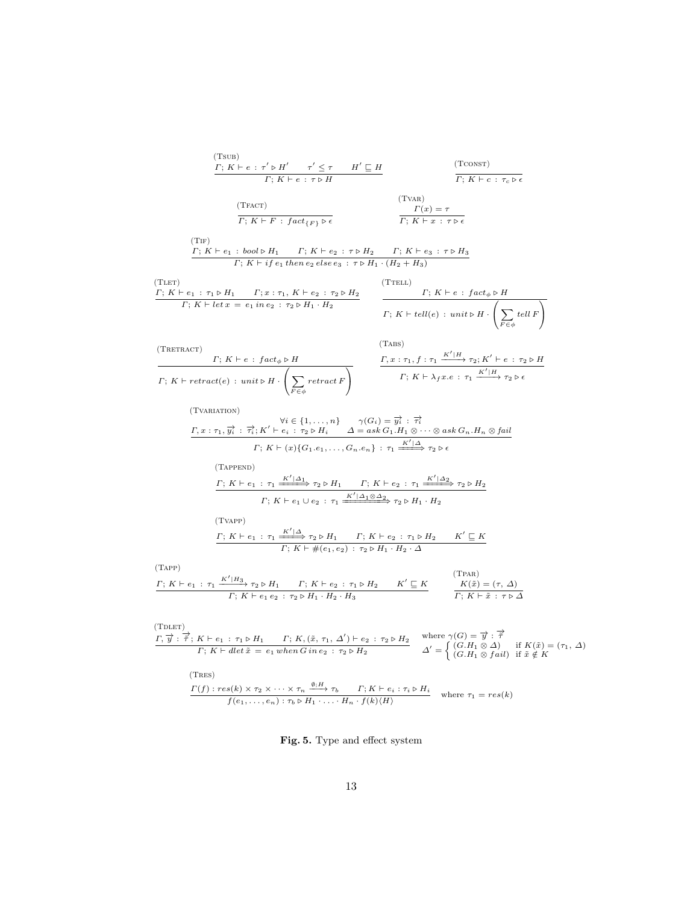$$
\begin{array}{c|c|c|c|c} & \underline{(\text{Test})} & \underline{F_1 K \vdash e : \tau' \triangleright H' & \tau' \leq \tau & H' \sqsubseteq H & \underline{(\text{Toosr})} \\ & & \underline{(\text{TextT})} & & \underline{(\text{TextT})} & & \underline{(\text{TextT})} \\ & & & \underline{(\text{TextT})} & & \underline{(\text{TextT})} & & \underline{(\text{TextT})} \\ & & & \underline{(\text{TextT})} & & \underline{(\text{TextT})} & & \underline{(\text{TextT})} \\ & & & \underline{(\text{TextT})} & & \underline{(\text{TextT})} & & \underline{(\text{TextT})} & & \underline{(\text{TextT})} \\ & & & \underline{(\text{TextT})} & & \underline{(\text{TextT})} & & \underline{(\text{TextT})} & & \underline{(\text{TextT})} & & \underline{(\text{TextT})} \\ & & & \underline{(\text{TextT})} & & \underline{(\text{TextT})} & & \underline{(\text{TextT})} & & \underline{(\text{TextT})} & & \underline{(\text{TextT})} \\ & & & \underline{(\text{TextT})} & & \underline{(\text{TextT})} & & \underline{(\text{TextT})} & & \underline{(\text{TextT})} & & \underline{(\text{TextT})} \\ & & & \underline{(\text{TextT})} & & \underline{(\text{TextT})} & & \underline{(\text{TextT})} & & \underline{(\text{TextT})} & & \underline{(\text{That})} \\ & & & \underline{(\text{TextT})} & & \underline{(\text{TextT})} & & \underline{(\text{TextT})} & & \underline{(\text{That})} & & \underline{(\text{That})} \\ & & & \underline{(\text{That})} & & \underline{(\text{That})} & & \underline{(\text{That})} & & \underline{(\text{That})} & & \underline{(\text{That})} \\ & & & \underline{(\text{That})} & & \underline{(\text{That})} & & \underline{(\text{That})} & & \underline{(\text{That})} \\ & & & \underline{(\text{That})} & & \underline{(\text{That})} & & \underline{(\text{That})} \\ & & & \underline{(\text{That})} & & \underline{(\text{That})} & & \underline{(\text{That})} & & \underline{(\text{That})} \\ & & & \underline{(\text{That})} & & \underline{(\text{That})} & & \underline{(\text
$$

 $\Gamma(f)$ :  $res(k) \times \tau_2 \times \cdots \times \tau_n \xrightarrow{\emptyset; H} \tau_b \qquad \Gamma; K \vdash e_i : \tau_i \triangleright H_i$  $f(e_1, \ldots, e_n) : \tau_b \triangleright H_1 \cdot \ldots \cdot H_n \cdot f(k) \langle H \rangle$  where  $\tau_1 = res(k)$ 

<span id="page-12-0"></span>Fig. 5. Type and effect system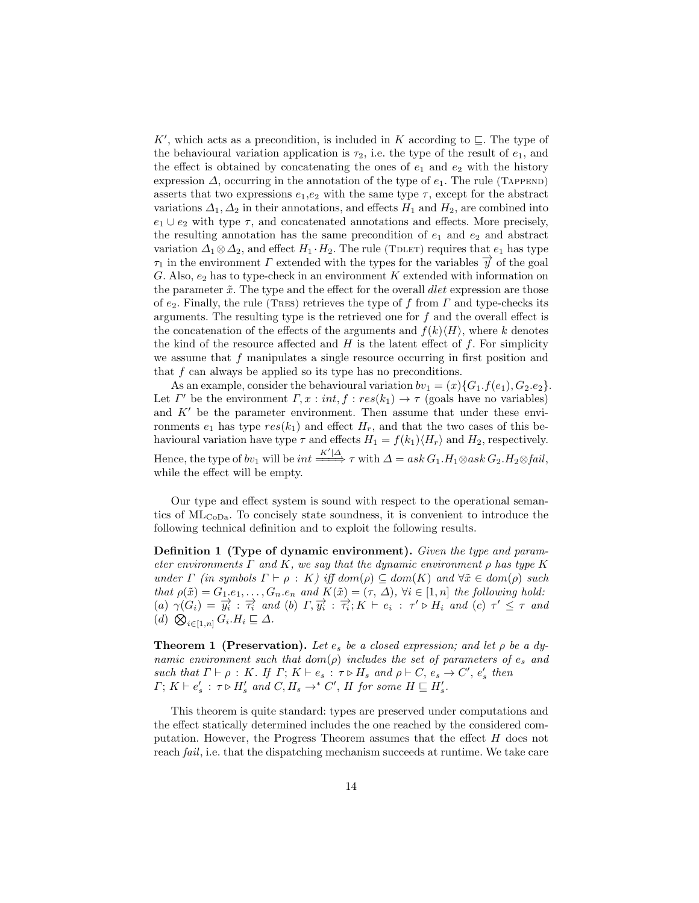$K'$ , which acts as a precondition, is included in  $K$  according to  $\subseteq$ . The type of the behavioural variation application is  $\tau_2$ , i.e. the type of the result of  $e_1$ , and the effect is obtained by concatenating the ones of  $e_1$  and  $e_2$  with the history expression  $\Delta$ , occurring in the annotation of the type of  $e_1$ . The rule (TAPPEND) asserts that two expressions  $e_1, e_2$  with the same type  $\tau$ , except for the abstract variations  $\Delta_1, \Delta_2$  in their annotations, and effects  $H_1$  and  $H_2$ , are combined into  $e_1 \cup e_2$  with type  $\tau$ , and concatenated annotations and effects. More precisely, the resulting annotation has the same precondition of  $e_1$  and  $e_2$  and abstract variation  $\Delta_1 \otimes \Delta_2$ , and effect  $H_1 \cdot H_2$ . The rule (TDLET) requires that  $e_1$  has type  $\tau_1$  in the environment  $\Gamma$  extended with the types for the variables  $\vec{y}$  of the goal *G*. Also, *e*<sup>2</sup> has to type-check in an environment *K* extended with information on the parameter  $\tilde{x}$ . The type and the effect for the overall *dlet* expression are those of  $e_2$ . Finally, the rule (TRES) retrieves the type of f from  $\Gamma$  and type-checks its arguments. The resulting type is the retrieved one for  $f$  and the overall effect is the concatenation of the effects of the arguments and  $f(k)\langle H \rangle$ , where *k* denotes the kind of the resource affected and  $H$  is the latent effect of  $f$ . For simplicity we assume that *f* manipulates a single resource occurring in first position and that *f* can always be applied so its type has no preconditions.

As an example, consider the behavioural variation  $bv_1 = (x) \{G_1.f(e_1), G_2.e_2\}$ . Let  $\Gamma'$  be the environment  $\Gamma, x : int, f : res(k_1) \to \tau$  (goals have no variables) and  $K'$  be the parameter environment. Then assume that under these environments  $e_1$  has type  $res(k_1)$  and effect  $H_r$ , and that the two cases of this behavioural variation have type  $\tau$  and effects  $H_1 = f(k_1)\langle H_r \rangle$  and  $H_2$ , respectively. Hence, the type of  $bv_1$  will be  $int \frac{K'|\Delta}{\Delta} \tau$  with  $\Delta = ask \ G_1.H_1 \otimes ask \ G_2.H_2 \otimes fail$ , while the effect will be empty.

Our type and effect system is sound with respect to the operational semantics of MLCoDa. To concisely state soundness, it is convenient to introduce the following technical definition and to exploit the following results.

Definition 1 (Type of dynamic environment). *Given the type and parameter environments*  $\Gamma$  *and*  $K$ *, we say that the dynamic environment*  $\rho$  *has type*  $K$ *under*  $\Gamma$  (*in symbols*  $\Gamma \vdash \rho : K$ ) *iff*  $dom(\rho) \subseteq dom(K)$  *and*  $\forall \tilde{x} \in dom(\rho)$  *such that*  $\rho(\tilde{x}) = G_1 \cdot e_1, \ldots, G_n \cdot e_n$  and  $K(\tilde{x}) = (\tau, \Delta)$ ,  $\forall i \in [1, n]$  the following hold:  $(a)$   $\gamma(G_i) = \overrightarrow{y_i} : \overrightarrow{\tau_i}$  and (b)  $\Gamma, \overrightarrow{y_i} : \overrightarrow{\tau_i}; K \vdash e_i : \tau' \triangleright H_i$  and (c)  $\tau' \leq \tau$  and  $(d)$   $\bigotimes_{i \in [1,n]} G_i.H_i \sqsubseteq \Delta.$ 

**Theorem 1 (Preservation).** Let  $e_s$  be a closed expression; and let  $\rho$  be a dy*namic environment such that*  $dom(\rho)$  *includes the set of parameters of*  $e_s$  *and such that*  $\Gamma \vdash \rho : K$ *. If*  $\Gamma; K \vdash e_s : \tau \triangleright H_s$  and  $\rho \vdash C, e_s \rightarrow C', e'_s$  then  $\Gamma; K \vdash e_s' : \tau \triangleright H_s'$  and  $C, H_s \rightarrow^* C', H$  for some  $H \sqsubseteq H_s'.$ 

This theorem is quite standard: types are preserved under computations and the effect statically determined includes the one reached by the considered computation. However, the Progress Theorem assumes that the effect  $H$  does not reach *fail*, i.e. that the dispatching mechanism succeeds at runtime. We take care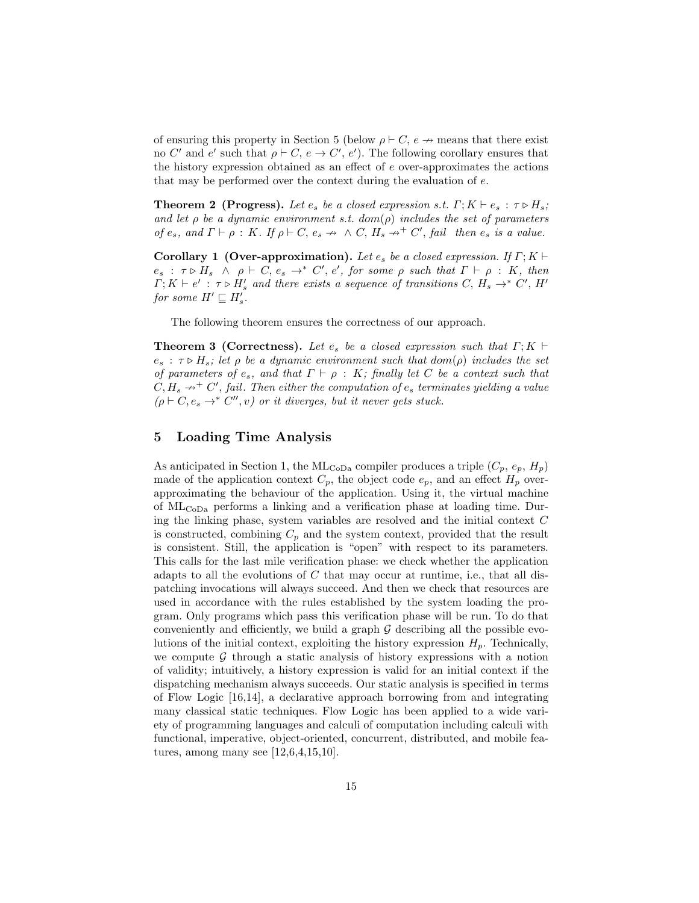of ensuring this property in Section [5](#page-14-0) (below  $\rho \vdash C$ ,  $e \rightarrow \emptyset$  means that there exist no *C'* and *e'* such that  $\rho \vdash C, e \rightarrow C', e'$ . The following corollary ensures that the history expression obtained as an effect of *e* over-approximates the actions that may be performed over the context during the evaluation of *e*.

**Theorem 2 (Progress).** Let  $e_s$  be a closed expression s.t.  $\Gamma; K \vdash e_s : \tau \triangleright H_s;$ and let  $\rho$  be a dynamic environment s.t.  $dom(\rho)$  includes the set of parameters *of*  $e_s$ *, and*  $\Gamma \vdash \rho : K$ *. If*  $\rho \vdash C$ *,*  $e_s \nrightarrow \wedge C$ *,*  $H_s \nrightarrow \vdash C'$ *, fail then*  $e_s$  *is a value.* 

Corollary 1 (Over-approximation). Let  $e_s$  be a closed expression. If  $\Gamma$ ;  $K \vdash$  $e_s$  :  $\tau \triangleright H_s$   $\wedge$   $\rho \vdash C, e_s \rightarrow^* C', e',$  for some  $\rho$  such that  $\Gamma \vdash \rho : K$ , then  $\Gamma; K \vdash e' : \tau \triangleright H'_{s}$  and there exists a sequence of transitions  $C, H_{s} \rightarrow^{*} C', H'$ *for some*  $H' \sqsubseteq H'_s$ *.* 

The following theorem ensures the correctness of our approach.

**Theorem 3 (Correctness).** Let  $e_s$  be a closed expression such that  $\Gamma; K \vdash$  $e_s$ :  $\tau \triangleright H_s$ ; let  $\rho$  be a dynamic environment such that  $dom(\rho)$  includes the set *of parameters of*  $e_s$ *, and that*  $\Gamma \vdash \rho : K$ *; finally let C be a context such that*  $C, H_s \rightarrow ^+C',$  fail. Then either the computation of  $e_s$  terminates yielding a value  $(\rho \vdash C, e_s \rightarrow^* C'', v)$  or it diverges, but it never gets stuck.

## <span id="page-14-0"></span>5 Loading Time Analysis

As anticipated in Section [1,](#page-0-0) the ML<sub>CoDa</sub> compiler produces a triple  $(C_p, e_p, H_p)$ made of the application context  $C_p$ , the object code  $e_p$ , and an effect  $H_p$  overapproximating the behaviour of the application. Using it, the virtual machine of MLCoDa performs a linking and a verification phase at loading time. During the linking phase, system variables are resolved and the initial context *C* is constructed, combining  $C_p$  and the system context, provided that the result is consistent. Still, the application is "open" with respect to its parameters. This calls for the last mile verification phase: we check whether the application adapts to all the evolutions of *C* that may occur at runtime, i.e., that all dispatching invocations will always succeed. And then we check that resources are used in accordance with the rules established by the system loading the program. Only programs which pass this verification phase will be run. To do that conveniently and efficiently, we build a graph  $G$  describing all the possible evolutions of the initial context, exploiting the history expression  $H_p$ . Technically, we compute  $G$  through a static analysis of history expressions with a notion of validity; intuitively, a history expression is valid for an initial context if the dispatching mechanism always succeeds. Our static analysis is specified in terms of Flow Logic [\[16,](#page-20-6)[14\]](#page-20-7), a declarative approach borrowing from and integrating many classical static techniques. Flow Logic has been applied to a wide variety of programming languages and calculi of computation including calculi with functional, imperative, object-oriented, concurrent, distributed, and mobile features, among many see [\[12,](#page-20-12)[6](#page-20-13)[,4,](#page-20-14)[15,](#page-20-15)[10\]](#page-20-16).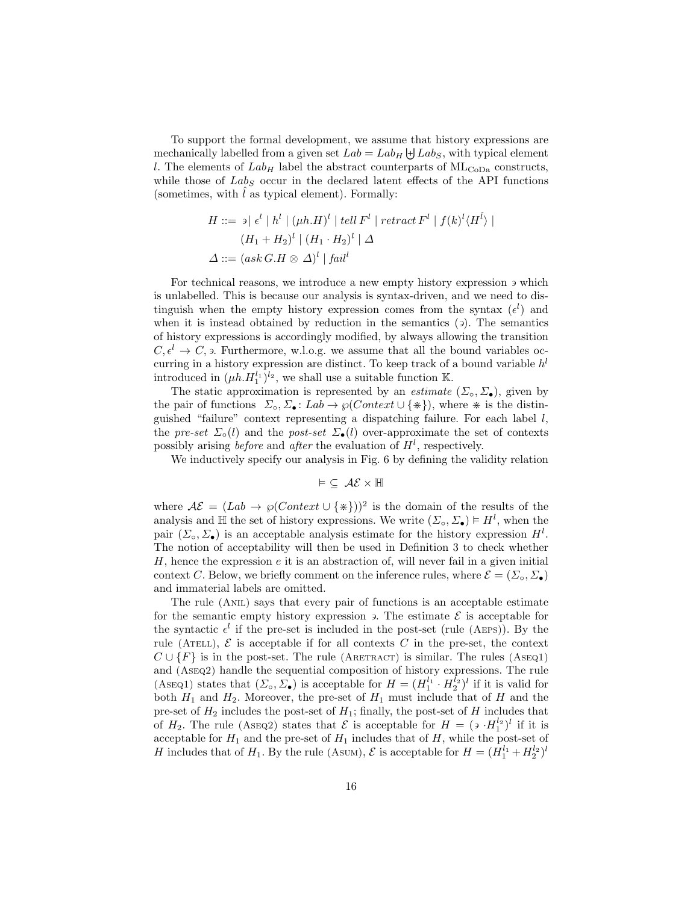To support the formal development, we assume that history expressions are mechanically labelled from a given set  $Lab = Lab_H \biguplus Lab_S$ , with typical element *l*. The elements of  $Lab_H$  label the abstract counterparts of  $ML_{\text{CoDa}}$  constructs, while those of  $Lab_S$  occur in the declared latent effects of the API functions (sometimes, with  $\hat{l}$  as typical element). Formally:

$$
H ::= \ni | \epsilon^{l} | h^{l} | (\mu h. H)^{l} | tell F^{l} | retract F^{l} | f(k)^{l} \langle H^{\hat{i}} \rangle |
$$
  
\n
$$
(H_1 + H_2)^{l} | (H_1 \cdot H_2)^{l} | \Delta
$$
  
\n
$$
\Delta ::= (ask \, G. H \otimes \Delta)^{l} | fail^{l}
$$

For technical reasons, we introduce a new empty history expression  $\alpha$  which is unlabelled. This is because our analysis is syntax-driven, and we need to distinguish when the empty history expression comes from the syntax  $(\epsilon^l)$  and when it is instead obtained by reduction in the semantics  $(a)$ . The semantics of history expressions is accordingly modified, by always allowing the transition  $C, \epsilon^l \to C$ ,  $\infty$ . Furthermore, w.l.o.g. we assume that all the bound variables occurring in a history expression are distinct. To keep track of a bound variable *h<sup>l</sup>* introduced in  $(\mu h. H_1^{l_1})^{l_2}$ , we shall use a suitable function K.

The static approximation is represented by an *estimate*  $(\Sigma_{\text{o}}, \Sigma_{\bullet})$ , given by the pair of functions  $\Sigma_{\circ}, \Sigma_{\bullet}: Lab \to \wp(Context \cup \{*\})$ , where  $*$  is the distinguished "failure" context representing a dispatching failure. For each label *l*, the *pre-set*  $\Sigma_{\text{o}}(l)$  and the *post-set*  $\Sigma_{\text{o}}(l)$  over-approximate the set of contexts possibly arising *before* and *after* the evaluation of *H<sup>l</sup>* , respectively.

We inductively specify our analysis in Fig. [6](#page-17-0) by defining the validity relation

$$
\vDash \subseteq \mathcal{AE} \times \mathbb{H}
$$

where  $A\mathcal{E} = (Lab \rightarrow \wp(Context \cup \{*\}))^2$  is the domain of the results of the analysis and  $\mathbb{H}$  the set of history expressions. We write  $(\Sigma_{\circ}, \Sigma_{\bullet}) \models H^l$ , when the pair  $(\Sigma_{\circ}, \Sigma_{\bullet})$  is an acceptable analysis estimate for the history expression  $H^l$ . The notion of acceptability will then be used in Definition [3](#page-16-0) to check whether *H*, hence the expression *e* it is an abstraction of, will never fail in a given initial context *C*. Below, we briefly comment on the inference rules, where  $\mathcal{E} = (\Sigma_o, \Sigma_o)$ and immaterial labels are omitted.

The rule (Anil) says that every pair of functions is an acceptable estimate for the semantic empty history expression  $\overline{z}$ . The estimate  $\mathcal{E}$  is acceptable for the syntactic  $\epsilon^l$  if the pre-set is included in the post-set (rule (AEPS)). By the rule (ATELL),  $\mathcal E$  is acceptable if for all contexts  $C$  in the pre-set, the context  $C \cup \{F\}$  is in the post-set. The rule (ARETRACT) is similar. The rules (ASEQ1) and (Aseq2) handle the sequential composition of history expressions. The rule (ASEQ1) states that  $(\Sigma_o, \Sigma_o)$  is acceptable for  $H = (H_1^{l_1} \cdot H_2^{l_2})^l$  if it is valid for both  $H_1$  and  $H_2$ . Moreover, the pre-set of  $H_1$  must include that of  $H$  and the pre-set of  $H_2$  includes the post-set of  $H_1$ ; finally, the post-set of  $H$  includes that of  $H_2$ . The rule (AsEQ2) states that  $\mathcal E$  is acceptable for  $H = (2 \cdot H_1^{l_2})^l$  if it is acceptable for  $H_1$  and the pre-set of  $H_1$  includes that of  $H$ , while the post-set of *H* includes that of  $H_1$ . By the rule (ASUM),  $\mathcal{E}$  is acceptable for  $H = (H_1^{l_1} + H_2^{l_2})^l$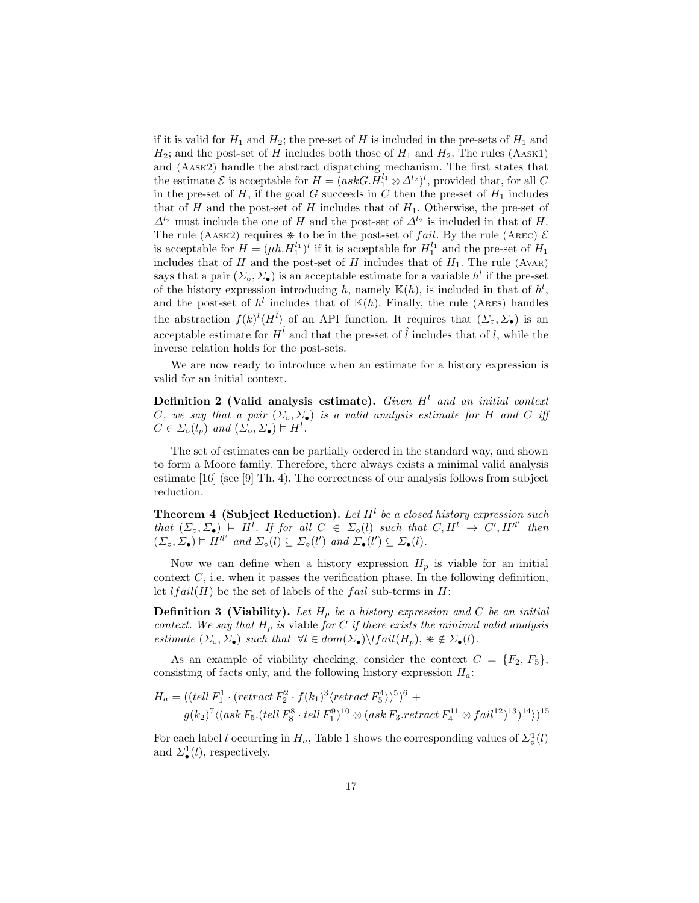if it is valid for  $H_1$  and  $H_2$ ; the pre-set of *H* is included in the pre-sets of  $H_1$  and  $H_2$ ; and the post-set of *H* includes both those of  $H_1$  and  $H_2$ . The rules (AASK1) and (Aask2) handle the abstract dispatching mechanism. The first states that the estimate  $\mathcal{E}$  is acceptable for  $H = (askG.H_1^{l_1} \otimes \Delta^{l_2})^l$ , provided that, for all *C* in the pre-set of  $H$ , if the goal  $G$  succeeds in  $C$  then the pre-set of  $H_1$  includes that of *H* and the post-set of *H* includes that of  $H_1$ . Otherwise, the pre-set of  $\Delta^{l_2}$  must include the one of *H* and the post-set of  $\Delta^{l_2}$  is included in that of *H*. The rule (AASK2) requires  $*$  to be in the post-set of *fail*. By the rule (AREC)  $\mathcal{E}$ is acceptable for  $H = (\mu h \cdot H_1^{l_1})^l$  if it is acceptable for  $H_1^{l_1}$  and the pre-set of  $H_1$ includes that of  $H$  and the post-set of  $H$  includes that of  $H_1$ . The rule (AVAR) says that a pair  $(\Sigma_o, \Sigma_o)$  is an acceptable estimate for a variable  $h^l$  if the pre-set of the history expression introducing *h*, namely  $\mathbb{K}(h)$ , is included in that of  $h^l$ , and the post-set of  $h^l$  includes that of  $K(h)$ . Finally, the rule (ARES) handles the abstraction  $f(k)^l \langle H^{\hat{l}} \rangle$  of an API function. It requires that  $(\Sigma_{\circ}, \Sigma_{\bullet})$  is an acceptable estimate for  $H^{\hat{\imath}}$  and that the pre-set of  $\hat{\imath}$  includes that of *l*, while the inverse relation holds for the post-sets.

We are now ready to introduce when an estimate for a history expression is valid for an initial context.

Definition 2 (Valid analysis estimate). *Given H<sup>l</sup> and an initial context C*, we say that a pair  $(\Sigma_o, \Sigma_o)$  is a valid analysis estimate for *H* and *C* iff  $C \in \Sigma_{\circ}(l_p)$  and  $(\Sigma_{\circ}, \Sigma_{\bullet}) \models H^l$ .

The set of estimates can be partially ordered in the standard way, and shown to form a Moore family. Therefore, there always exists a minimal valid analysis estimate [\[16\]](#page-20-6) (see [\[9\]](#page-20-2) Th. 4). The correctness of our analysis follows from subject reduction.

Theorem 4 (Subject Reduction). *Let H<sup>l</sup> be a closed history expression such that*  $(\Sigma_{\circ}, \Sigma_{\bullet}) \models H^l$ . If for all  $C \in \Sigma_{\circ}(l)$  such that  $C, H^l \rightarrow C', H'^l$  then  $(\Sigma_{\circ}, \Sigma_{\bullet}) \models H'^{l'}$  and  $\Sigma_{\circ}(l) \subseteq \Sigma_{\circ}(l')$  and  $\Sigma_{\bullet}(l') \subseteq \Sigma_{\bullet}(l)$ .

<span id="page-16-0"></span>Now we can define when a history expression  $H_p$  is viable for an initial context *C*, i.e. when it passes the verification phase. In the following definition, let *lf ail*(*H*) be the set of labels of the *f ail* sub-terms in *H*:

Definition 3 (Viability). *Let H<sup>p</sup> be a history expression and C be an initial context. We say that*  $H_p$  *is* viable *for C if there exists the minimal valid analysis estimate*  $(\Sigma_o, \Sigma_o)$  *such that*  $\forall l \in dom(\Sigma_o) \setminus lfail(H_p), \divideontimes \notin \Sigma_o(l)$ *.* 

As an example of viability checking, consider the context  $C = \{F_2, F_5\}$ , consisting of facts only, and the following history expression *Ha*:

$$
H_a = ((tell F_1^1 \cdot (retract F_2^2 \cdot f(k_1)^3 \langle retract F_5^4 \rangle)^5)^6 + g(k_2)^7 \langle (ask F_5. (tell F_8^8 \cdot tell F_1^9)^{10} \otimes (ask F_3. retract F_4^{11} \otimes fail^{12})^{13})^{14} \rangle)^{15}
$$

For each label *l* occurring in  $H_a$ , Table [1](#page-18-0) shows the corresponding values of  $\Sigma^1_o(l)$ and  $\Sigma^1_{\bullet}(l)$ , respectively.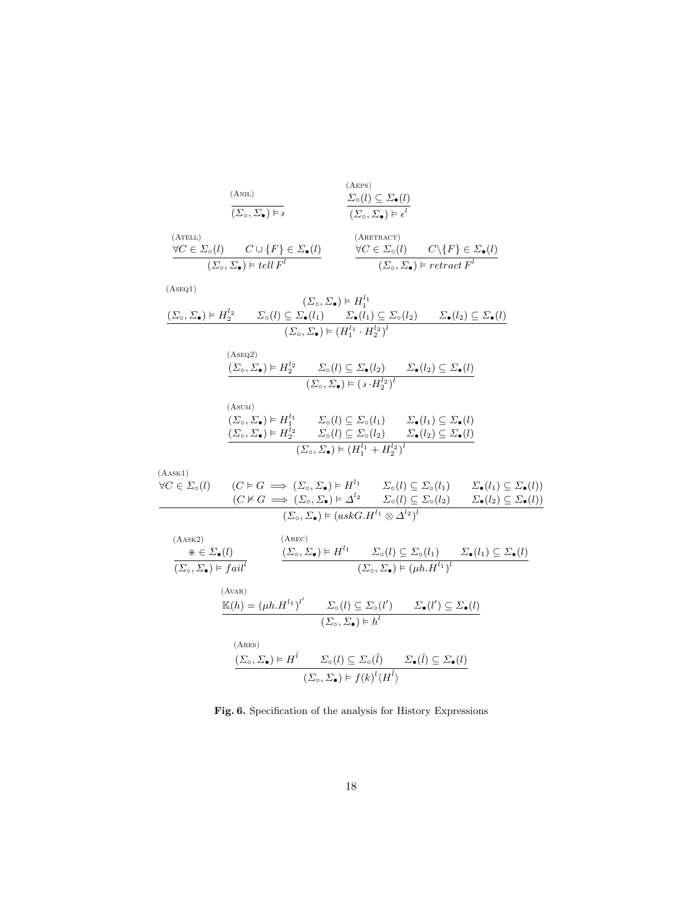$$
\frac{\text{(ABPS)}}{(\Sigma_{\circ}, \Sigma_{\bullet}) \vDash \mathfrak{z}} \qquad \qquad \frac{\Sigma_{\circ}(l) \subseteq \Sigma_{\bullet}(l)}{(\Sigma_{\circ}, \Sigma_{\bullet}) \vDash \epsilon^{l}}
$$

$$
\frac{\forall C \in \Sigma_{\circ}(l) \qquad C \cup \{F\} \in \Sigma_{\bullet}(l)}{\langle \Sigma_{\circ}, \Sigma_{\bullet} \rangle \models \text{tell } F^{l}} \qquad \qquad \frac{\forall C \in \Sigma_{\circ}(l) \qquad C \setminus \{F\} \in \Sigma_{\bullet}(l)}{\langle \Sigma_{\circ}, \Sigma_{\bullet} \rangle \models \text{retract } F^{l}}
$$

 $(Aseq1)$ 

$$
(\Sigma_{\circ}, \Sigma_{\bullet}) \vDash H_2^{l_2} \qquad \Sigma_{\circ}(l) \subseteq \Sigma_{\bullet}(l_1) \qquad \Sigma_{\bullet}(l_1) \subseteq \Sigma_{\circ}(l_2) \qquad \Sigma_{\bullet}(l_2) \subseteq \Sigma_{\bullet}(l)
$$

$$
(\Sigma_{\circ}, \Sigma_{\bullet}) \vDash (H_1^{l_1} \cdot H_2^{l_2})^l
$$

$$
\frac{(\text{A}\text{SEQ2})}{(\Sigma_{\circ}, \Sigma_{\bullet}) \vDash H_2^{l_2} \qquad \Sigma_{\circ}(l) \subseteq \Sigma_{\bullet}(l_2) \qquad \Sigma_{\bullet}(l_2) \subseteq \Sigma_{\bullet}(l)}
$$

$$
(\Sigma_{\circ}, \Sigma_{\bullet}) \vDash (\circ \cdot H_2^{l_2})^{l}
$$

(AsUM)  
\n
$$
(\Sigma_{\circ}, \Sigma_{\bullet}) \vDash H_1^{l_1}
$$
  $\Sigma_{\circ}(l) \subseteq \Sigma_{\circ}(l_1)$   $\Sigma_{\bullet}(l_1) \subseteq \Sigma_{\bullet}(l)$   
\n $(\Sigma_{\circ}, \Sigma_{\bullet}) \vDash H_2^{l_2}$   $\Sigma_{\circ}(l) \subseteq \Sigma_{\circ}(l_2)$   $\Sigma_{\bullet}(l_2) \subseteq \Sigma_{\bullet}(l)$   
\n $(\Sigma_{\circ}, \Sigma_{\bullet}) \vDash (H_1^{l_1} + H_2^{l_2})^l$ 

(Aask1)

$$
\forall C \in \Sigma_{\circ}(l) \qquad (C \vDash G \implies (\Sigma_{\circ}, \Sigma_{\bullet}) \vDash H^{l_1} \qquad \Sigma_{\circ}(l) \subseteq \Sigma_{\circ}(l_1) \qquad \Sigma_{\bullet}(l_1) \subseteq \Sigma_{\bullet}(l))
$$
  

$$
(C \nvDash G \implies (\Sigma_{\circ}, \Sigma_{\bullet}) \vDash \Delta^{l_2} \qquad \Sigma_{\circ}(l) \subseteq \Sigma_{\circ}(l_2) \qquad \Sigma_{\bullet}(l_2) \subseteq \Sigma_{\bullet}(l))
$$
  

$$
(\Sigma_{\circ}, \Sigma_{\bullet}) \vDash (askG.H^{l_1} \otimes \Delta^{l_2})^{l}
$$
  

$$
\xrightarrow{\text{(Aask2)}} (\Sigma_{\circ}, \Sigma_{\bullet}) \vDash fail^{l} \qquad (\Sigma_{\circ}, \Sigma_{\bullet}) \vDash H^{l_1} \qquad \Sigma_{\circ}(l) \subseteq \Sigma_{\circ}(l_1) \qquad \Sigma_{\bullet}(l_1) \subseteq \Sigma_{\bullet}(l)
$$
  

$$
(\Sigma_{\circ}, \Sigma_{\bullet}) \vDash fail^{l} \qquad (\Sigma_{\circ}, \Sigma_{\bullet}) \vDash (\mu h.H^{l_1})^{l}
$$
  

$$
(\Delta \text{VAR}) \qquad (\Delta \text{VAR})
$$
  

$$
\mathbb{K}(h) = (\mu h.H^{l_1})^{l'} \qquad \Sigma_{\circ}(l) \subseteq \Sigma_{\circ}(l') \qquad \Sigma_{\bullet}(l') \subseteq \Sigma_{\bullet}(l)
$$

$$
(A_{RES})
$$
\n
$$
(E_{\circ}, \Sigma_{\bullet}) \vDash h^{l}
$$
\n
$$
(E_{\circ}, \Sigma_{\bullet}) \vDash H^{l} \qquad \Sigma_{\circ}(l) \subseteq \Sigma_{\circ}(l) \qquad \Sigma_{\bullet}(l) \subseteq \Sigma_{\bullet}(l)
$$
\n
$$
(\Sigma_{\circ}, \Sigma_{\bullet}) \vDash f(k)^{l} \langle H^{l} \rangle
$$

<span id="page-17-0"></span>Fig. 6. Specification of the analysis for History Expressions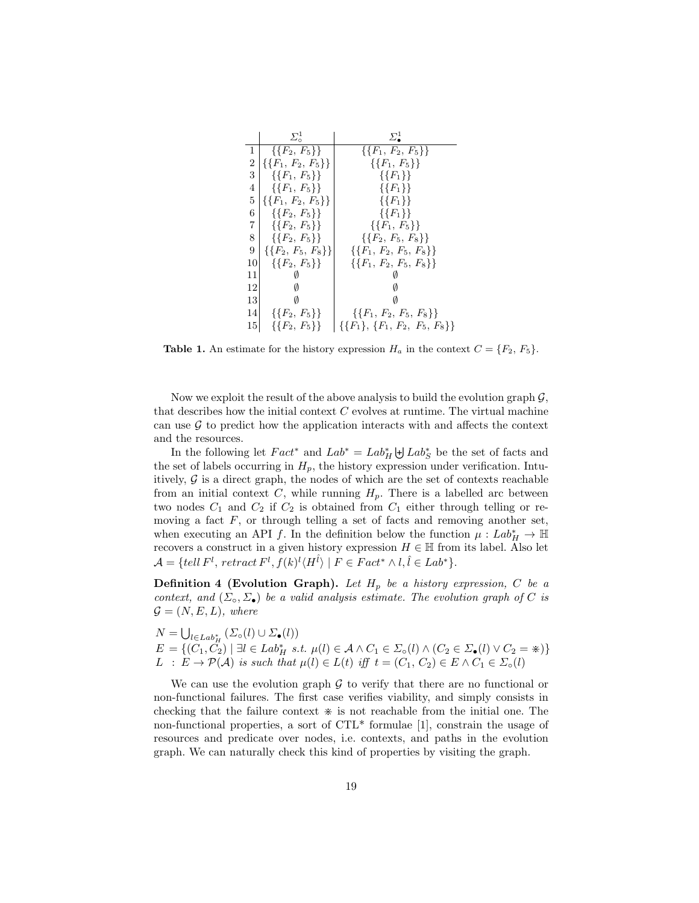|                  | $\Sigma^1_{\alpha}$      | $\Sigma^1$                               |
|------------------|--------------------------|------------------------------------------|
| $\mathbf{1}$     | $\{\{F_2, F_5\}\}\$      | $\{\{F_1, F_2, F_5\}\}\$                 |
| $\boldsymbol{2}$ | $\{\{F_1, F_2, F_5\}\}\$ | $\{\{F_1, F_5\}\}\$                      |
| 3                | $\{\{F_1, F_5\}\}\$      | $\{\{F_1\}\}\$                           |
| $\overline{4}$   | $\{\{F_1, F_5\}\}\$      | $\{\{F_1\}\}\$                           |
| 5                | $\{\{F_1, F_2, F_5\}\}\$ | $\{\{F_1\}\}\$                           |
| 6                | $\{\{F_2, F_5\}\}\$      | $\{\{F_1\}\}\$                           |
| $\,7$            | $\{\{F_2, F_5\}\}\$      | $\{\{F_1, F_5\}\}\$                      |
| 8                | $\{\{F_2, F_5\}\}\$      | $\{\{F_2, F_5, F_8\}\}\$                 |
| 9                | $\{\{F_2, F_5, F_8\}\}\$ | $\{\{F_1, F_2, F_5, F_8\}\}\$            |
| 10               | $\{\{F_2, F_5\}\}\$      | $\{\{F_1, F_2, F_5, F_8\}\}\$            |
| 11               | Ø                        |                                          |
| 12               | Ø                        | Ø                                        |
| 13               | Ø                        | Ø                                        |
| 14               | $\{\{F_2, F_5\}\}\$      | $\{\{F_1, F_2, F_5, F_8\}\}\$            |
| $15$             | $\{\{F_2, F_5\}\}\$      | $\{\{F_1\},\{F_1,\,F_2,\,F_5,\,F_8\}\}\$ |

<span id="page-18-0"></span>**Table 1.** An estimate for the history expression  $H_a$  in the context  $C = \{F_2, F_5\}$ .

Now we exploit the result of the above analysis to build the evolution graph *G*, that describes how the initial context *C* evolves at runtime. The virtual machine can use  $\mathcal G$  to predict how the application interacts with and affects the context and the resources.

In the following let  $Fact^*$  and  $Lab^* = Lab^*_{H} \biguplus Lab^*_{S}$  be the set of facts and the set of labels occurring in  $H_p$ , the history expression under verification. Intuitively,  $G$  is a direct graph, the nodes of which are the set of contexts reachable from an initial context *C*, while running  $H_p$ . There is a labelled arc between two nodes  $C_1$  and  $C_2$  if  $C_2$  is obtained from  $C_1$  either through telling or removing a fact *F*, or through telling a set of facts and removing another set, when executing an API *f*. In the definition below the function  $\mu : Lab_H^* \to \mathbb{H}$ recovers a construct in a given history expression  $H \in \mathbb{H}$  from its label. Also let  $\mathcal{A} = \{ \text{tell } F^l, \text{ retract } F^l, f(k)^l \langle H^{\hat{l}} \rangle \mid F \in \text{Fact* } \wedge l, \hat{l} \in \text{Lab*} \}.$ 

**Definition 4 (Evolution Graph).** Let  $H_p$  be a history expression, C be a *context, and*  $(\Sigma_o, \Sigma_o)$  *be a valid analysis estimate. The evolution graph of C is*  $G = (N, E, L)$ *, where* 

 $N = \bigcup_{l \in Lab^*_H} (\Sigma_{\circ}(l) \cup \Sigma_{\bullet}(l))$  $E = \{ (C_1, C_2) \mid \exists l \in Lab_H^* \text{ s.t. } \mu(l) \in \mathcal{A} \land C_1 \in \Sigma_{\circ}(l) \land (C_2 \in \Sigma_{\bullet}(l) \lor C_2 = \ast) \}$  $L : E \to \mathcal{P}(\mathcal{A})$  *is such that*  $\mu(l) \in L(t)$  *iff*  $t = (C_1, C_2) \in E \wedge C_1 \in \Sigma_{\circ}(l)$ 

We can use the evolution graph  $G$  to verify that there are no functional or non-functional failures. The first case verifies viability, and simply consists in checking that the failure context  $*$  is not reachable from the initial one. The non-functional properties, a sort of CTL\* formulae [\[1\]](#page-20-8), constrain the usage of resources and predicate over nodes, i.e. contexts, and paths in the evolution graph. We can naturally check this kind of properties by visiting the graph.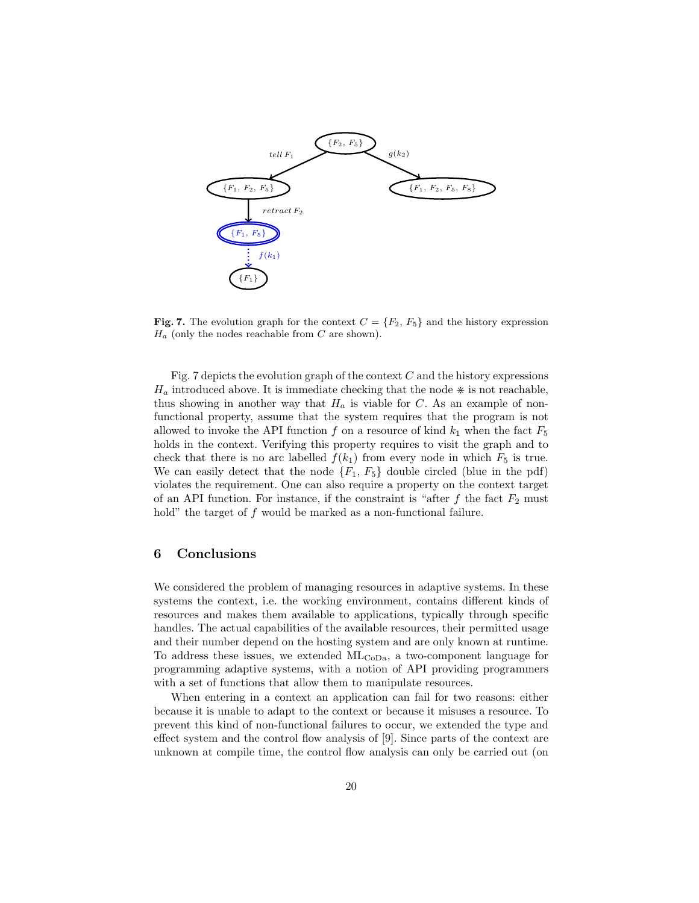

<span id="page-19-1"></span>Fig. 7. The evolution graph for the context  $C = \{F_2, F_5\}$  and the history expression *H<sup>a</sup>* (only the nodes reachable from *C* are shown).

Fig. [7](#page-19-1) depicts the evolution graph of the context *C* and the history expressions  $H_a$  introduced above. It is immediate checking that the node  $*$  is not reachable, thus showing in another way that  $H_a$  is viable for *C*. As an example of nonfunctional property, assume that the system requires that the program is not allowed to invoke the API function  $f$  on a resource of kind  $k_1$  when the fact  $F_5$ holds in the context. Verifying this property requires to visit the graph and to check that there is no arc labelled  $f(k_1)$  from every node in which  $F_5$  is true. We can easily detect that the node  ${F_1, F_5}$  double circled (blue in the pdf) violates the requirement. One can also require a property on the context target of an API function. For instance, if the constraint is "after  $f$  the fact  $F_2$  must hold" the target of *f* would be marked as a non-functional failure.

## <span id="page-19-0"></span>6 Conclusions

We considered the problem of managing resources in adaptive systems. In these systems the context, i.e. the working environment, contains different kinds of resources and makes them available to applications, typically through specific handles. The actual capabilities of the available resources, their permitted usage and their number depend on the hosting system and are only known at runtime. To address these issues, we extended  $ML_{CoDa}$ , a two-component language for programming adaptive systems, with a notion of API providing programmers with a set of functions that allow them to manipulate resources.

When entering in a context an application can fail for two reasons: either because it is unable to adapt to the context or because it misuses a resource. To prevent this kind of non-functional failures to occur, we extended the type and effect system and the control flow analysis of  $[9]$ . Since parts of the context are unknown at compile time, the control flow analysis can only be carried out (on